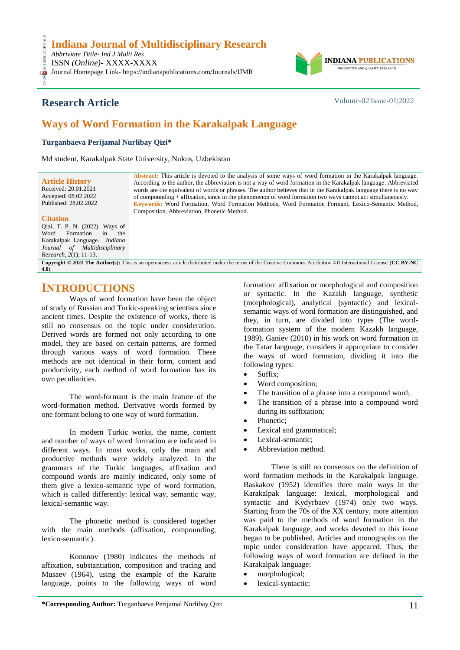*Abbriviate Tittle- Ind J Multi Res* ISSN *(Online)*- XXXX-XXXX

OPEN ACCESS JOURNALS Journal Homepage Link- https://indianapublications.com/Journals/IJMR



# **Research Article** Volume-02|Issue-01|2022

# **Ways of Word Formation in the Karakalpak Language**

### **Turganbaeva Perijamal Nurlibay Qizi\***

Md student, Karakalpak State University, Nukus, Uzbekistan

**Article History** Received: 20.01.2021 Accepted: 08.02.2022 Published: 28.02.2022

**Abstract:** This article is devoted to the analysis of some ways of word formation in the Karakalpak language. According to the author, the abbreviation is not a way of word formation in the Karakalpak language. Abbreviated words are the equivalent of words or phrases. The author believes that in the Karakalpak language there is no way of compounding + affixation, since in the phenomenon of word formation two ways cannot act simultaneously*.* **Keywords:** Word Formation, Word Formation Methods, Word Formation Formant, Lexico-Semantic Method, Composition, Abbreviation, Phonetic Method*.*

#### **Citation**

CESS.

Qizi, T. P. N. (2022). Ways of Word Formation in the Karakalpak Language. *Indiana Journal of Multidisciplinary Research, 2*(1), 11-13.

**Copyright © 2022 The Author(s):** This is an open-access article distributed under the terms of the Creative Commons Attribution 4.0 International License (**[CC BY-NC](https://creativecommons.org/licenses/by-nc/4.0/)  [4.0](https://creativecommons.org/licenses/by-nc/4.0/)**).

## **INTRODUCTIONS**

Ways of word formation have been the object of study of Russian and Turkic-speaking scientists since ancient times. Despite the existence of works, there is still no consensus on the topic under consideration. Derived words are formed not only according to one model, they are based on certain patterns, are formed through various ways of word formation. These methods are not identical in their form, content and productivity, each method of word formation has its own peculiarities.

The word-formant is the main feature of the word-formation method. Derivative words formed by one formant belong to one way of word formation.

In modern Turkic works, the name, content and number of ways of word formation are indicated in different ways. In most works, only the main and productive methods were widely analyzed. In the grammars of the Turkic languages, affixation and compound words are mainly indicated, only some of them give a lexico-semantic type of word formation, which is called differently: lexical way, semantic way, lexical-semantic way.

The phonetic method is considered together with the main methods (affixation, compounding, lexico-semantic).

Kononov (1980) indicates the methods of affixation, substantiation, composition and tracing and Musaev (1964), using the example of the Karaite language, points to the following ways of word

formation: affixation or morphological and composition or syntactic. In the Kazakh language, synthetic (morphological), analytical (syntactic) and lexicalsemantic ways of word formation are distinguished, and they, in turn, are divided into types (The wordformation system of the modern Kazakh language, 1989). Ganiev (2010) in his work on word formation in the Tatar language, considers it appropriate to consider the ways of word formation, dividing it into the following types:

- Suffix;
- Word composition;
- The transition of a phrase into a compound word;
- The transition of a phrase into a compound word during its suffixation;
- Phonetic;
- Lexical and grammatical;
- Lexical-semantic;
- Abbreviation method.

There is still no consensus on the definition of word formation methods in the Karakalpak language. Baskakov (1952) identifies three main ways in the Karakalpak language: lexical, morphological and syntactic and Kydyrbaev (1974) only two ways. Starting from the 70s of the XX century, more attention was paid to the methods of word formation in the Karakalpak language, and works devoted to this issue began to be published. Articles and monographs on the topic under consideration have appeared. Thus, the following ways of word formation are defined in the Karakalpak language:

- morphological;
- lexical-syntactic;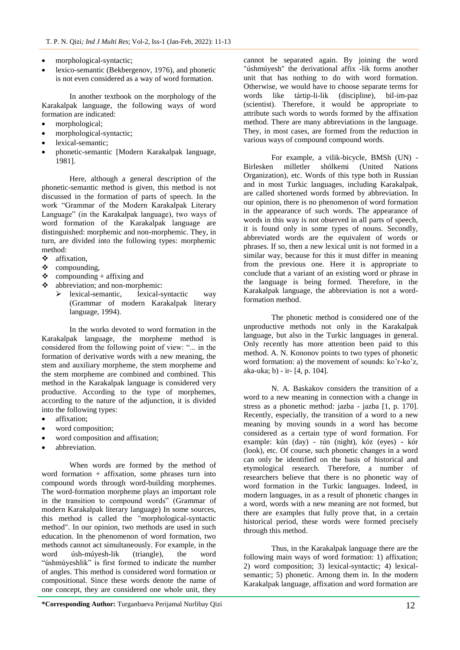- morphological-syntactic;
- lexico-semantic (Bekbergenov, 1976), and phonetic is not even considered as a way of word formation.

In another textbook on the morphology of the Karakalpak language, the following ways of word formation are indicated:

- morphological;
- morphological-syntactic;
- lexical-semantic;
- phonetic-semantic [Modern Karakalpak language, 1981].

Here, although a general description of the phonetic-semantic method is given, this method is not discussed in the formation of parts of speech. In the work "Grammar of the Modern Karakalpak Literary Language" (in the Karakalpak language), two ways of word formation of the Karakalpak language are distinguished: morphemic and non-morphemic. They, in turn, are divided into the following types: morphemic method:

- $\triangle$  affixation.
- $\div$  compounding,
- $\bullet$  compounding + affixing and
- $\triangleleft$  abbreviation; and non-morphemic:
	- lexical-semantic, lexical-syntactic way (Grammar of modern Karakalpak literary language, 1994).

In the works devoted to word formation in the Karakalpak language, the morpheme method is considered from the following point of view: "... in the formation of derivative words with a new meaning, the stem and auxiliary morpheme, the stem morpheme and the stem morpheme are combined and combined. This method in the Karakalpak language is considered very productive. According to the type of morphemes, according to the nature of the adjunction, it is divided into the following types:

- affixation;
- word composition;
- word composition and affixation;
- abbreviation.

When words are formed by the method of word formation + affixation, some phrases turn into compound words through word-building morphemes. The word-formation morpheme plays an important role in the transition to compound words" (Grammar of modern Karakalpak literary language) In some sources, this method is called the "morphological-syntactic method". In our opinion, two methods are used in such education. In the phenomenon of word formation, two methods cannot act simultaneously. For example, in the word úsh-múyesh-lik (triangle), the word "úshmúyeshlik" is first formed to indicate the number of angles. This method is considered word formation or compositional. Since these words denote the name of one concept, they are considered one whole unit, they

cannot be separated again. By joining the word "úshmúyesh" the derivational affix -lik forms another unit that has nothing to do with word formation. Otherwise, we would have to choose separate terms for words like tártip-li-lik (discipline), bil-im-paz (scientist). Therefore, it would be appropriate to attribute such words to words formed by the affixation method. There are many abbreviations in the language. They, in most cases, are formed from the reduction in various ways of compound compound words.

For example, a vilik-bicycle, BMSh (UN) - Birlesken milletler shólkemi (United Nations Organization), etc. Words of this type both in Russian and in most Turkic languages, including Karakalpak, are called shortened words formed by abbreviation. In our opinion, there is no phenomenon of word formation in the appearance of such words. The appearance of words in this way is not observed in all parts of speech, it is found only in some types of nouns. Secondly, abbreviated words are the equivalent of words or phrases. If so, then a new lexical unit is not formed in a similar way, because for this it must differ in meaning from the previous one. Here it is appropriate to conclude that a variant of an existing word or phrase in the language is being formed. Therefore, in the Karakalpak language, the abbreviation is not a wordformation method.

The phonetic method is considered one of the unproductive methods not only in the Karakalpak language, but also in the Turkic languages in general. Only recently has more attention been paid to this method. A. N. Kononov points to two types of phonetic word formation: a) the movement of sounds: ko'r-ko'z, aka-uka; b) - ir- [4, p. 104].

N. A. Baskakov considers the transition of a word to a new meaning in connection with a change in stress as a phonetic method: jazba - jazba  $[1, p. 170]$ . Recently, especially, the transition of a word to a new meaning by moving sounds in a word has become considered as a certain type of word formation. For example: kún (day) - tún (night), kóz (eyes) - kór (look), etc. Of course, such phonetic changes in a word can only be identified on the basis of historical and etymological research. Therefore, a number of researchers believe that there is no phonetic way of word formation in the Turkic languages. Indeed, in modern languages, in as a result of phonetic changes in a word, words with a new meaning are not formed, but there are examples that fully prove that, in a certain historical period, these words were formed precisely through this method.

Thus, in the Karakalpak language there are the following main ways of word formation: 1) affixation; 2) word composition; 3) lexical-syntactic; 4) lexicalsemantic; 5) phonetic. Among them in. In the modern Karakalpak language, affixation and word formation are